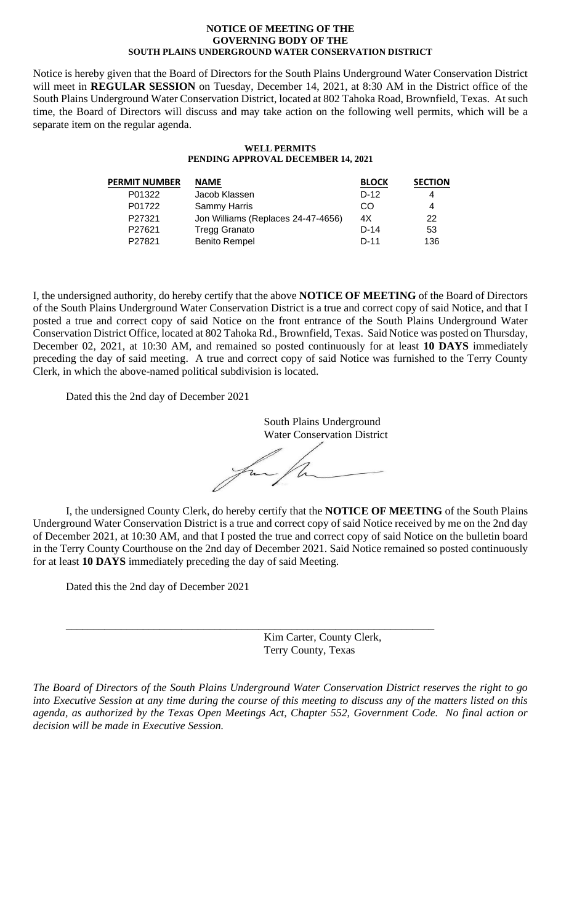#### **NOTICE OF MEETING OF THE GOVERNING BODY OF THE SOUTH PLAINS UNDERGROUND WATER CONSERVATION DISTRICT**

Notice is hereby given that the Board of Directors for the South Plains Underground Water Conservation District will meet in **REGULAR SESSION** on Tuesday, December 14, 2021, at 8:30 AM in the District office of the South Plains Underground Water Conservation District, located at 802 Tahoka Road, Brownfield, Texas. At such time, the Board of Directors will discuss and may take action on the following well permits, which will be a separate item on the regular agenda.

### **WELL PERMITS PENDING APPROVAL DECEMBER 14, 2021**

| <b>PERMIT NUMBER</b> | <b>NAME</b>                        | <b>BLOCK</b> | <b>SECTION</b> |
|----------------------|------------------------------------|--------------|----------------|
| P01322               | Jacob Klassen                      | $D-12$       | 4              |
| P01722               | Sammy Harris                       | CO           | 4              |
| P27321               | Jon Williams (Replaces 24-47-4656) | 4X           | 22             |
| P27621               | <b>Tregg Granato</b>               | $D-14$       | 53             |
| P27821               | <b>Benito Rempel</b>               | $D-11$       | 136            |
|                      |                                    |              |                |

I, the undersigned authority, do hereby certify that the above **NOTICE OF MEETING** of the Board of Directors of the South Plains Underground Water Conservation District is a true and correct copy of said Notice, and that I posted a true and correct copy of said Notice on the front entrance of the South Plains Underground Water Conservation District Office, located at 802 Tahoka Rd., Brownfield, Texas. Said Notice was posted on Thursday, December 02, 2021, at 10:30 AM, and remained so posted continuously for at least **10 DAYS** immediately preceding the day of said meeting. A true and correct copy of said Notice was furnished to the Terry County Clerk, in which the above-named political subdivision is located.

Dated this the 2nd day of December 2021

South Plains Underground Water Conservation District for,

I, the undersigned County Clerk, do hereby certify that the **NOTICE OF MEETING** of the South Plains Underground Water Conservation District is a true and correct copy of said Notice received by me on the 2nd day of December 2021, at 10:30 AM, and that I posted the true and correct copy of said Notice on the bulletin board in the Terry County Courthouse on the 2nd day of December 2021. Said Notice remained so posted continuously for at least **10 DAYS** immediately preceding the day of said Meeting.

Dated this the 2nd day of December 2021

Kim Carter, County Clerk, Terry County, Texas

*The Board of Directors of the South Plains Underground Water Conservation District reserves the right to go into Executive Session at any time during the course of this meeting to discuss any of the matters listed on this agenda, as authorized by the Texas Open Meetings Act, Chapter 552, Government Code. No final action or decision will be made in Executive Session.*

\_\_\_\_\_\_\_\_\_\_\_\_\_\_\_\_\_\_\_\_\_\_\_\_\_\_\_\_\_\_\_\_\_\_\_\_\_\_\_\_\_\_\_\_\_\_\_\_\_\_\_\_\_\_\_\_\_\_\_\_\_\_\_\_\_\_\_